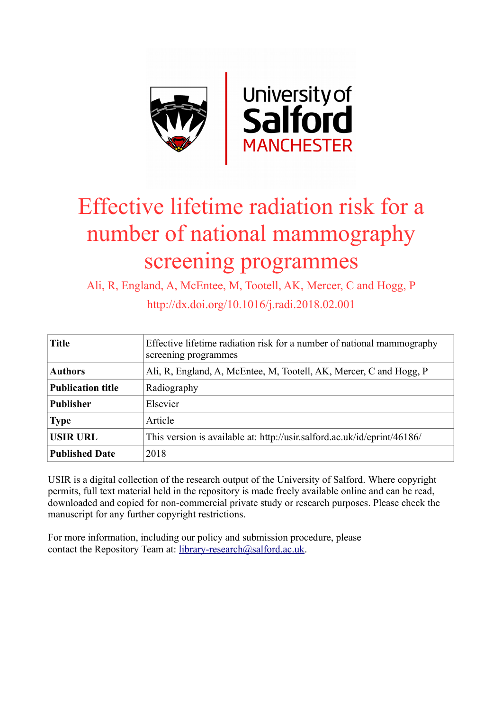

# Effective lifetime radiation risk for a number of national mammography screening programmes

Ali, R, England, A, McEntee, M, Tootell, AK, Mercer, C and Hogg, P http://dx.doi.org/10.1016/j.radi.2018.02.001

| <b>Title</b>             | Effective lifetime radiation risk for a number of national mammography<br>screening programmes |
|--------------------------|------------------------------------------------------------------------------------------------|
| <b>Authors</b>           | Ali, R, England, A, McEntee, M, Tootell, AK, Mercer, C and Hogg, P                             |
| <b>Publication title</b> | Radiography                                                                                    |
| <b>Publisher</b>         | Elsevier                                                                                       |
| <b>Type</b>              | Article                                                                                        |
| <b>USIR URL</b>          | This version is available at: http://usir.salford.ac.uk/id/eprint/46186/                       |
| <b>Published Date</b>    | 2018                                                                                           |

USIR is a digital collection of the research output of the University of Salford. Where copyright permits, full text material held in the repository is made freely available online and can be read, downloaded and copied for non-commercial private study or research purposes. Please check the manuscript for any further copyright restrictions.

For more information, including our policy and submission procedure, please contact the Repository Team at: [library-research@salford.ac.uk.](mailto:library-research@salford.ac.uk)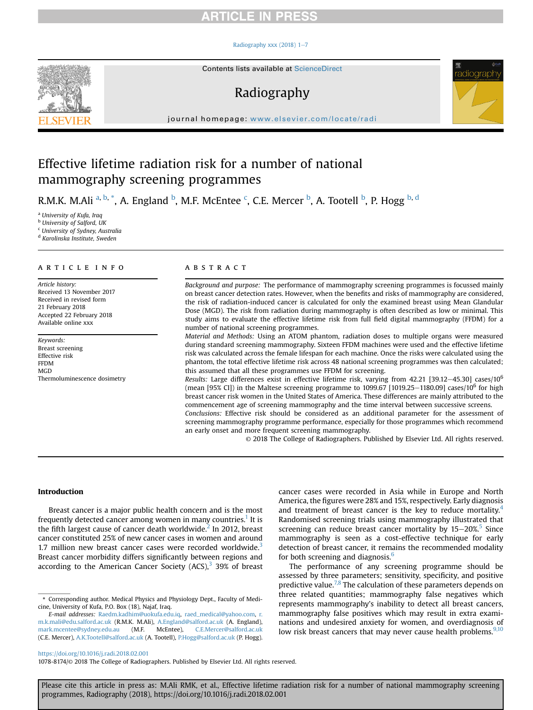# **RTICLE IN PRESS**

#### Radiography xxx (2018)  $1-7$  $1-7$



Contents lists available at [ScienceDirect](www.sciencedirect.com/science/journal/10788174)

# Radiography



journal homepage: [www.elsevier.com/locate/radi](http://www.elsevier.com/locate/radi)

# Effective lifetime radiation risk for a number of national mammography screening programmes

R.M.K. M.Ali <sup>a, b, \*</sup>, A. England <sup>b</sup>, M.F. McEntee <sup>c</sup>, C.E. Mercer <sup>b</sup>, A. Tootell <sup>b</sup>, P. Hogg <sup>b, d</sup>

<sup>a</sup> University of Kufa, Iraq **b** University of Salford, UK <sup>c</sup> University of Sydney, Australia

<sup>d</sup> Karolinska Institute, Sweden

### article info

Article history: Received 13 November 2017 Received in revised form 21 February 2018 Accepted 22 February 2018 Available online xxx

Keywords: Breast screening Effective risk FFDM MGD Thermoluminescence dosimetry

## ABSTRACT

Background and purpose: The performance of mammography screening programmes is focussed mainly on breast cancer detection rates. However, when the benefits and risks of mammography are considered, the risk of radiation-induced cancer is calculated for only the examined breast using Mean Glandular Dose (MGD). The risk from radiation during mammography is often described as low or minimal. This study aims to evaluate the effective lifetime risk from full field digital mammography (FFDM) for a number of national screening programmes.

Material and Methods: Using an ATOM phantom, radiation doses to multiple organs were measured during standard screening mammography. Sixteen FFDM machines were used and the effective lifetime risk was calculated across the female lifespan for each machine. Once the risks were calculated using the phantom, the total effective lifetime risk across 48 national screening programmes was then calculated; this assumed that all these programmes use FFDM for screening.

Results: Large differences exist in effective lifetime risk, varying from 42.21 [39.12–45.30] cases/10<sup>6</sup> (mean [95% CI]) in the Maltese screening programme to 1099.67 [1019.25–1180.09] cases/10<sup>6</sup> for high breast cancer risk women in the United States of America. These differences are mainly attributed to the commencement age of screening mammography and the time interval between successive screens.

Conclusions: Effective risk should be considered as an additional parameter for the assessment of screening mammography programme performance, especially for those programmes which recommend an early onset and more frequent screening mammography.

© 2018 The College of Radiographers. Published by Elsevier Ltd. All rights reserved.

### Introduction

Breast cancer is a major public health concern and is the most frequently detected cancer among women in many countries.<sup>1</sup> It is the fifth largest cause of cancer death worldwide. $2$  In 2012, breast cancer constituted 25% of new cancer cases in women and around 1.7 million new breast cancer cases were recorded worldwide. $3$ Breast cancer morbidity differs significantly between regions and according to the American Cancer Society  $(ACS)<sup>3</sup>$  $(ACS)<sup>3</sup>$  $(ACS)<sup>3</sup>$  39% of breast cancer cases were recorded in Asia while in Europe and North America, the figures were 28% and 15%, respectively. Early diagnosis and treatment of breast cancer is the key to reduce mortality. $4$ Randomised screening trials using mammography illustrated that screening can reduce breast cancer mortality by  $15-20\%$  $15-20\%$  $15-20\%$ .<sup>5</sup> Since mammography is seen as a cost-effective technique for early detection of breast cancer, it remains the recommended modality for both screening and diagnosis.<sup>6</sup>

The performance of any screening programme should be assessed by three parameters; sensitivity, specificity, and positive predictive value.<sup>7,8</sup> The calculation of these parameters depends on three related quantities; mammography false negatives which represents mammography's inability to detect all breast cancers, mammography false positives which may result in extra examinations and undesired anxiety for women, and overdiagnosis of low risk breast cancers that may never cause health problems.<sup>[9,10](#page-7-0)</sup>

1078-8174/© 2018 The College of Radiographers. Published by Elsevier Ltd. All rights reserved.

<sup>\*</sup> Corresponding author. Medical Physics and Physiology Dept., Faculty of Medicine, University of Kufa, P.O. Box (18), Najaf, Iraq.

E-mail addresses: [Raedm.kadhim@uokufa.edu.iq,](mailto:Raedm.kadhim@uokufa.edu.iq) [raed\\_medical@yahoo.com,](mailto:raed_medical@yahoo.com) [r.](mailto:r.m.k.mali@edu.salford.ac.uk) [m.k.mali@edu.salford.ac.uk](mailto:r.m.k.mali@edu.salford.ac.uk) (R.M.K. M.Ali), [A.England@salford.ac.uk](mailto:A.England@salford.ac.uk) (A. England), [mark.mcentee@sydney.edu.au](mailto:mark.mcentee@sydney.edu.au) (M.F. McEntee), [C.E.Mercer@salford.ac.uk](mailto:C.E.Mercer@salford.ac.uk) (C.E. Mercer), [A.K.Tootell@salford.ac.uk](mailto:A.K.Tootell@salford.ac.uk) (A. Tootell), [P.Hogg@salford.ac.uk](mailto:P.Hogg@salford.ac.uk) (P. Hogg).

<https://doi.org/10.1016/j.radi.2018.02.001>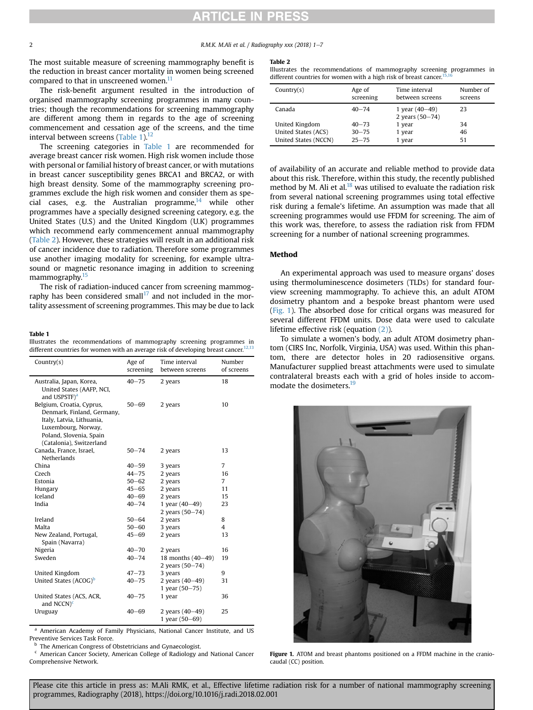# **RTICLE IN PRES**

2 R.M.K. M.Ali et al. / Radiography xxx (2018) 1-7

The most suitable measure of screening mammography benefit is the reduction in breast cancer mortality in women being screened compared to that in unscreened women. $11$ 

The risk-benefit argument resulted in the introduction of organised mammography screening programmes in many countries; though the recommendations for screening mammography are different among them in regards to the age of screening commencement and cessation age of the screens, and the time interval between screens (Table 1). $^{12}$  $^{12}$  $^{12}$ 

The screening categories in Table 1 are recommended for average breast cancer risk women. High risk women include those with personal or familial history of breast cancer, or with mutations in breast cancer susceptibility genes BRCA1 and BRCA2, or with high breast density. Some of the mammography screening programmes exclude the high risk women and consider them as special cases, e.g. the Australian programme, $14$  while other programmes have a specially designed screening category, e.g. the United States (U.S) and the United Kingdom (U.K) programmes which recommend early commencement annual mammography (Table 2). However, these strategies will result in an additional risk of cancer incidence due to radiation. Therefore some programmes use another imaging modality for screening, for example ultrasound or magnetic resonance imaging in addition to screening mammography.<sup>15</sup>

The risk of radiation-induced cancer from screening mammography has been considered small<sup>17</sup> and not included in the mortality assessment of screening programmes. This may be due to lack

#### Table 1

Illustrates the recommendations of mammography screening programmes in different countries for women with an average risk of developing breast cancer.<sup>[12,13](#page-7-0)</sup>

| Country $(s)$                                                                                                                                                      | Age of<br>screening | Time interval<br>between screens          | Number<br>of screens |
|--------------------------------------------------------------------------------------------------------------------------------------------------------------------|---------------------|-------------------------------------------|----------------------|
| Australia, Japan, Korea,<br>United States (AAFP, NCI,<br>and USPSTF) <sup>a</sup>                                                                                  | $40 - 75$           | 2 years                                   | 18                   |
| Belgium, Croatia, Cyprus,<br>Denmark, Finland, Germany,<br>Italy, Latvia, Lithuania,<br>Luxembourg, Norway,<br>Poland, Slovenia, Spain<br>(Catalonia), Switzerland | $50 - 69$           | 2 years                                   | 10                   |
| Canada, France, Israel,<br>Netherlands                                                                                                                             | $50 - 74$           | 2 years                                   | 13                   |
| China                                                                                                                                                              | $40 - 59$           | 3 years                                   | 7                    |
| Czech                                                                                                                                                              | $44 - 75$           | 2 years                                   | 16                   |
| Estonia                                                                                                                                                            | $50 - 62$           | 2 years                                   | 7                    |
| Hungary                                                                                                                                                            | $45 - 65$           | 2 years                                   | 11                   |
| Iceland                                                                                                                                                            | $40 - 69$           | 2 years                                   | 15                   |
| India                                                                                                                                                              | $40 - 74$           | 1 year $(40 - 49)$                        | 23                   |
|                                                                                                                                                                    |                     | 2 years (50-74)                           |                      |
| Ireland                                                                                                                                                            | $50 - 64$           | 2 years                                   | 8                    |
| Malta                                                                                                                                                              | $50 - 60$           | 3 years                                   | 4                    |
| New Zealand, Portugal,<br>Spain (Navarra)                                                                                                                          | $45 - 69$           | 2 years                                   | 13                   |
| Nigeria                                                                                                                                                            | $40 - 70$           | 2 years                                   | 16                   |
| Sweden                                                                                                                                                             | $40 - 74$           | 18 months (40-49)<br>2 years (50-74)      | 19                   |
| United Kingdom                                                                                                                                                     | $47 - 73$           | 3 years                                   | 9                    |
| United States (ACOG) <sup>b</sup>                                                                                                                                  | $40 - 75$           | 2 years (40-49)<br>1 year $(50 - 75)$     | 31                   |
| United States (ACS, ACR,<br>and $NCCN$ <sup>c</sup>                                                                                                                | $40 - 75$           | 1 year                                    | 36                   |
| Uruguay                                                                                                                                                            | $40 - 69$           | 2 years $(40 - 49)$<br>1 year $(50 - 69)$ | 25                   |

<sup>a</sup> American Academy of Family Physicians, National Cancer Institute, and US Preventive Services Task Force.

**b** The American Congress of Obstetricians and Gynaecologist.

<sup>c</sup> American Cancer Society, American College of Radiology and National Cancer Comprehensive Network.

#### Table 2

Illustrates the recommendations of mammography screening programmes in different countries for women with a high risk of breast cancer.<sup>1</sup>

| Country(s)           | Age of<br>screening | Time interval<br>between screens      | Number of<br>screens |
|----------------------|---------------------|---------------------------------------|----------------------|
| Canada               | $40 - 74$           | 1 year $(40-49)$<br>2 years $(50-74)$ | 23                   |
| United Kingdom       | $40 - 73$           | 1 year                                | 34                   |
| United States (ACS)  | $30 - 75$           | 1 year                                | 46                   |
| United States (NCCN) | $25 - 75$           | 1 year                                | 51                   |

of availability of an accurate and reliable method to provide data about this risk. Therefore, within this study, the recently published method by M. Ali et al. $^{18}$  $^{18}$  $^{18}$  was utilised to evaluate the radiation risk from several national screening programmes using total effective risk during a female's lifetime. An assumption was made that all screening programmes would use FFDM for screening. The aim of this work was, therefore, to assess the radiation risk from FFDM screening for a number of national screening programmes.

### Method

An experimental approach was used to measure organs' doses using thermoluminescence dosimeters (TLDs) for standard fourview screening mammography. To achieve this, an adult ATOM dosimetry phantom and a bespoke breast phantom were used (Fig. 1). The absorbed dose for critical organs was measured for several different FFDM units. Dose data were used to calculate lifetime effective risk (equation [\(2\)\)](#page-4-0).

To simulate a women's body, an adult ATOM dosimetry phantom (CIRS Inc, Norfolk, Virginia, USA) was used. Within this phantom, there are detector holes in 20 radiosensitive organs. Manufacturer supplied breast attachments were used to simulate contralateral breasts each with a grid of holes inside to accommodate the dosimeters.<sup>19</sup>



Figure 1. ATOM and breast phantoms positioned on a FFDM machine in the craniocaudal (CC) position.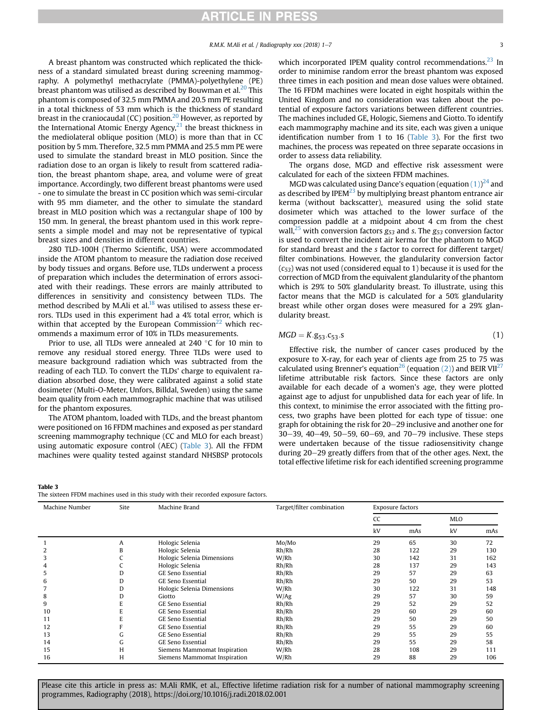A breast phantom was constructed which replicated the thickness of a standard simulated breast during screening mammography. A polymethyl methacrylate (PMMA)-polyethylene (PE) breast phantom was utilised as described by Bouwman et al.<sup>[20](#page-7-0)</sup> This phantom is composed of 32.5 mm PMMA and 20.5 mm PE resulting in a total thickness of 53 mm which is the thickness of standard breast in the craniocaudal (CC) position.<sup>[20](#page-7-0)</sup> However, as reported by the International Atomic Energy Agency,<sup>21</sup> the breast thickness in the mediolateral oblique position (MLO) is more than that in CC position by 5 mm. Therefore, 32.5 mm PMMA and 25.5 mm PE were used to simulate the standard breast in MLO position. Since the radiation dose to an organ is likely to result from scattered radiation, the breast phantom shape, area, and volume were of great importance. Accordingly, two different breast phantoms were used - one to simulate the breast in CC position which was semi-circular with 95 mm diameter, and the other to simulate the standard breast in MLO position which was a rectangular shape of 100 by 150 mm. In general, the breast phantom used in this work represents a simple model and may not be representative of typical breast sizes and densities in different countries.

280 TLD-100H (Thermo Scientific, USA) were accommodated inside the ATOM phantom to measure the radiation dose received by body tissues and organs. Before use, TLDs underwent a process of preparation which includes the determination of errors associated with their readings. These errors are mainly attributed to differences in sensitivity and consistency between TLDs. The method described by M.Ali et al. $^{18}$  $^{18}$  $^{18}$  was utilised to assess these errors. TLDs used in this experiment had a 4% total error, which is within that accepted by the European Commission<sup>[22](#page-7-0)</sup> which recommends a maximum error of 10% in TLDs measurements.

Prior to use, all TLDs were annealed at  $240\degree$ C for 10 min to remove any residual stored energy. Three TLDs were used to measure background radiation which was subtracted from the reading of each TLD. To convert the TLDs' charge to equivalent radiation absorbed dose, they were calibrated against a solid state dosimeter (Multi-O-Meter, Unfors, Billdal, Sweden) using the same beam quality from each mammographic machine that was utilised for the phantom exposures.

The ATOM phantom, loaded with TLDs, and the breast phantom were positioned on 16 FFDM machines and exposed as per standard screening mammography technique (CC and MLO for each breast) using automatic exposure control (AEC) (Table 3). All the FFDM machines were quality tested against standard NHSBSP protocols

#### Table 3

The sixteen FFDM machines used in this study with their recorded exposure factors.

which incorporated IPEM quality control recommendations. $^{23}$  In order to minimise random error the breast phantom was exposed three times in each position and mean dose values were obtained. The 16 FFDM machines were located in eight hospitals within the United Kingdom and no consideration was taken about the potential of exposure factors variations between different countries. The machines included GE, Hologic, Siemens and Giotto. To identify each mammography machine and its site, each was given a unique identification number from 1 to 16 (Table 3). For the first two machines, the process was repeated on three separate occasions in order to assess data reliability.

The organs dose, MGD and effective risk assessment were calculated for each of the sixteen FFDM machines.

MGD was calculated using Dance's equation (equation  $(1)$ )<sup>[24](#page-7-0)</sup> and as described by IPE $M^{23}$  by multiplying breast phantom entrance air kerma (without backscatter), measured using the solid state dosimeter which was attached to the lower surface of the compression paddle at a midpoint about 4 cm from the chest wall,<sup>[25](#page-7-0)</sup> with conversion factors  $g_{53}$  and s. The  $g_{53}$  conversion factor is used to convert the incident air kerma for the phantom to MGD for standard breast and the s factor to correct for different target/ filter combinations. However, the glandularity conversion factor  $(c_{53})$  was not used (considered equal to 1) because it is used for the correction of MGD from the equivalent glandularity of the phantom which is 29% to 50% glandularity breast. To illustrate, using this factor means that the MGD is calculated for a 50% glandularity breast while other organ doses were measured for a 29% glandularity breast.

$$
MGD = K.g_{53}.c_{53}.s
$$
 (1)

Effective risk, the number of cancer cases produced by the exposure to X-ray, for each year of clients age from 25 to 75 was calculated using Brenner's equation<sup>[26](#page-7-0)</sup> (equation [\(2\)](#page-4-0)) and BEIR VII<sup>[27](#page-7-0)</sup> lifetime attributable risk factors. Since these factors are only available for each decade of a women's age, they were plotted against age to adjust for unpublished data for each year of life. In this context, to minimise the error associated with the fitting process, two graphs have been plotted for each type of tissue: one graph for obtaining the risk for 20–29 inclusive and another one for 30-39, 40-49, 50-59, 60-69, and 70-79 inclusive. These steps were undertaken because of the tissue radiosensitivity change during 20–29 greatly differs from that of the other ages. Next, the total effective lifetime risk for each identified screening programme

| Machine Number | Site | Machine Brand                | Target/filter combination | Exposure factors |     |     |     |
|----------------|------|------------------------------|---------------------------|------------------|-----|-----|-----|
|                |      |                              |                           | CC               |     | MLO |     |
|                |      |                              |                           | kV               | mAs | kV  | mAs |
|                | A    | Hologic Selenia              | Mo/Mo                     | 29               | 65  | 30  | 72  |
|                | В    | Hologic Selenia              | Rh/Rh                     | 28               | 122 | 29  | 130 |
|                |      | Hologic Selenia Dimensions   | W/Rh                      | 30               | 142 | 31  | 162 |
|                |      | Hologic Selenia              | Rh/Rh                     | 28               | 137 | 29  | 143 |
| כ              |      | <b>GE Seno Essential</b>     | Rh/Rh                     | 29               | 57  | 29  | 63  |
| n              |      | <b>GE Seno Essential</b>     | Rh/Rh                     | 29               | 50  | 29  | 53  |
|                |      | Hologic Selenia Dimensions   | W/Rh                      | 30               | 122 | 31  | 148 |
| 8              |      | Giotto                       | W/Ag                      | 29               | 57  | 30  | 59  |
| 9              |      | <b>GE Seno Essential</b>     | Rh/Rh                     | 29               | 52  | 29  | 52  |
| 10             |      | <b>GE Seno Essential</b>     | Rh/Rh                     | 29               | 60  | 29  | 60  |
| 11             |      | <b>GE Seno Essential</b>     | Rh/Rh                     | 29               | 50  | 29  | 50  |
| 12             |      | <b>GE Seno Essential</b>     | Rh/Rh                     | 29               | 55  | 29  | 60  |
| 13             |      | <b>GE Seno Essential</b>     | Rh/Rh                     | 29               | 55  | 29  | 55  |
| 14             | tт   | <b>GE Seno Essential</b>     | Rh/Rh                     | 29               | 55  | 29  | 58  |
| 15             | H    | Siemens Mammomat Inspiration | W/Rh                      | 28               | 108 | 29  | 111 |
| 16             | H    | Siemens Mammomat Inspiration | W/Rh                      | 29               | 88  | 29  | 106 |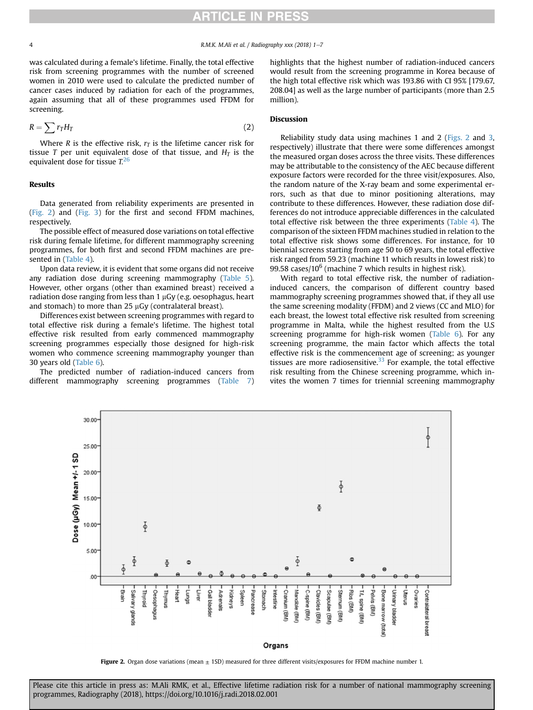<span id="page-4-0"></span>4 R.M.K. M.Ali et al. / Radiography xxx (2018) 1-7

was calculated during a female's lifetime. Finally, the total effective risk from screening programmes with the number of screened women in 2010 were used to calculate the predicted number of cancer cases induced by radiation for each of the programmes, again assuming that all of these programmes used FFDM for screening.

$$
R = \sum r_T H_T \tag{2}
$$

Where R is the effective risk,  $r<sub>T</sub>$  is the lifetime cancer risk for tissue T per unit equivalent dose of that tissue, and  $H_T$  is the equivalent dose for tissue  $T<sup>26</sup>$  $T<sup>26</sup>$  $T<sup>26</sup>$ 

#### Results

Data generated from reliability experiments are presented in (Fig. 2) and ([Fig. 3\)](#page-5-0) for the first and second FFDM machines, respectively.

The possible effect of measured dose variations on total effective risk during female lifetime, for different mammography screening programmes, for both first and second FFDM machines are presented in [\(Table 4](#page-5-0)).

Upon data review, it is evident that some organs did not receive any radiation dose during screening mammography ([Table 5\)](#page-5-0). However, other organs (other than examined breast) received a radiation dose ranging from less than  $1 \mu G$ y (e.g. oesophagus, heart and stomach) to more than  $25 \mu Gy$  (contralateral breast).

Differences exist between screening programmes with regard to total effective risk during a female's lifetime. The highest total effective risk resulted from early commenced mammography screening programmes especially those designed for high-risk women who commence screening mammography younger than 30 years old ([Table 6\)](#page-6-0).

The predicted number of radiation-induced cancers from different mammography screening programmes [\(Table 7\)](#page-6-0) highlights that the highest number of radiation-induced cancers would result from the screening programme in Korea because of the high total effective risk which was 193.86 with CI 95% [179.67, 208.04] as well as the large number of participants (more than 2.5 million).

### Discussion

Reliability study data using machines 1 and 2 (Figs. 2 and [3,](#page-5-0) respectively) illustrate that there were some differences amongst the measured organ doses across the three visits. These differences may be attributable to the consistency of the AEC because different exposure factors were recorded for the three visit/exposures. Also, the random nature of the X-ray beam and some experimental errors, such as that due to minor positioning alterations, may contribute to these differences. However, these radiation dose differences do not introduce appreciable differences in the calculated total effective risk between the three experiments ([Table 4\)](#page-5-0). The comparison of the sixteen FFDM machines studied in relation to the total effective risk shows some differences. For instance, for 10 biennial screens starting from age 50 to 69 years, the total effective risk ranged from 59.23 (machine 11 which results in lowest risk) to 99.58 cases/10 $6$  (machine 7 which results in highest risk).

With regard to total effective risk, the number of radiationinduced cancers, the comparison of different country based mammography screening programmes showed that, if they all use the same screening modality (FFDM) and 2 views (CC and MLO) for each breast, the lowest total effective risk resulted from screening programme in Malta, while the highest resulted from the U.S screening programme for high-risk women [\(Table 6\)](#page-6-0). For any screening programme, the main factor which affects the total effective risk is the commencement age of screening; as younger tissues are more radiosensitive. $33$  For example, the total effective risk resulting from the Chinese screening programme, which invites the women 7 times for triennial screening mammography



Figure 2. Organ dose variations (mean  $\pm$  1SD) measured for three different visits/exposures for FFDM machine number 1.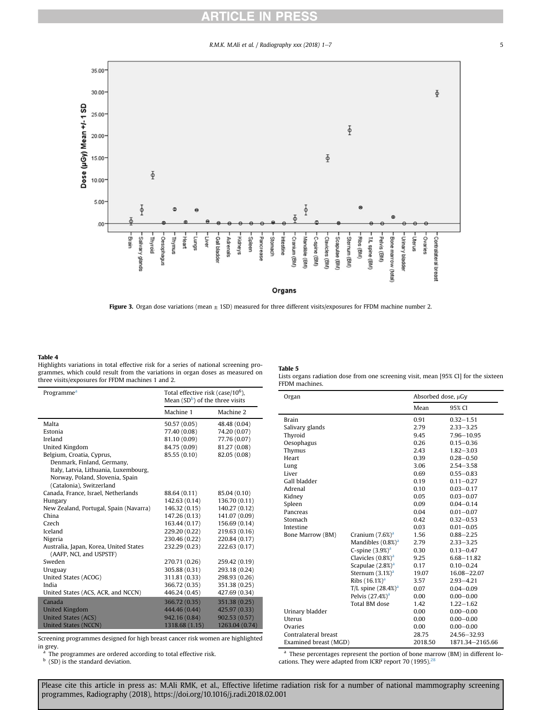# $\mathbf{\color{red}\sim}$

R.M.K. M.Ali et al. / Radiography xxx (2018) 1-7 5

<span id="page-5-0"></span>

Figure 3. Organ dose variations (mean  $\pm$  1SD) measured for three different visits/exposures for FFDM machine number 2.

### Table 4

Highlights variations in total effective risk for a series of national screening programmes, which could result from the variations in organ doses as measured on three visits/exposures for FFDM machines 1 and 2.

| Programme <sup>a</sup>                                            | Total effective risk (case/10 <sup>6</sup> ),<br>Mean $(SD^b)$ of the three visits |                |  |
|-------------------------------------------------------------------|------------------------------------------------------------------------------------|----------------|--|
| Machine 1                                                         |                                                                                    | Machine 2      |  |
| Malta                                                             | 50.57 (0.05)                                                                       | 48.48 (0.04)   |  |
| Estonia                                                           | 77.40 (0.08)                                                                       | 74.20 (0.07)   |  |
| Ireland                                                           | 81.10 (0.09)                                                                       | 77.76 (0.07)   |  |
| United Kingdom                                                    | 84.75 (0.09)                                                                       | 81.27 (0.08)   |  |
| Belgium, Croatia, Cyprus,                                         | 85.55 (0.10)                                                                       | 82.05 (0.08)   |  |
| Denmark, Finland, Germany,                                        |                                                                                    |                |  |
| Italy, Latvia, Lithuania, Luxembourg,                             |                                                                                    |                |  |
| Norway, Poland, Slovenia, Spain                                   |                                                                                    |                |  |
| (Catalonia), Switzerland                                          |                                                                                    |                |  |
| Canada, France, Israel, Netherlands                               | 88.64 (0.11)                                                                       | 85.04 (0.10)   |  |
| Hungary                                                           | 142.63 (0.14)                                                                      | 136.70 (0.11)  |  |
| New Zealand, Portugal, Spain (Navarra)                            | 146.32 (0.15)                                                                      | 140.27 (0.12)  |  |
| China                                                             | 147.26 (0.13)                                                                      | 141.07 (0.09)  |  |
| Czech                                                             | 163.44 (0.17)                                                                      | 156.69 (0.14)  |  |
| Iceland                                                           | 229.20 (0.22)                                                                      | 219.63 (0.16)  |  |
| Nigeria                                                           | 230.46 (0.22)                                                                      | 220.84 (0.17)  |  |
| Australia, Japan, Korea, United States<br>(AAFP, NCI, and USPSTF) | 232.29 (0.23)                                                                      | 222.63 (0.17)  |  |
| Sweden                                                            | 270.71 (0.26)                                                                      | 259.42 (0.19)  |  |
| Uruguay                                                           | 305.88 (0.31)                                                                      | 293.18 (0.24)  |  |
| United States (ACOG)                                              | 311.81 (0.33)                                                                      | 298.93 (0.26)  |  |
| India                                                             | 366.72 (0.35)                                                                      | 351.38 (0.25)  |  |
| United States (ACS, ACR, and NCCN)                                | 446.24 (0.45)                                                                      | 427.69 (0.34)  |  |
| Canada                                                            | 366.72 (0.35)                                                                      | 351.38 (0.25)  |  |
| <b>United Kingdom</b>                                             | 444.46 (0.44)                                                                      | 425.97 (0.33)  |  |
| <b>United States (ACS)</b>                                        | 942.16 (0.84)                                                                      | 902.53 (0.57)  |  |
| <b>United States (NCCN)</b>                                       | 1318.68 (1.15)                                                                     | 1263.04 (0.74) |  |

Screening programmes designed for high breast cancer risk women are highlighted in grey.

<sup>a</sup> The programmes are ordered according to total effective risk.<br><sup>b</sup> (SD) is the standard deviation

(SD) is the standard deviation.

Table 5

Lists organs radiation dose from one screening visit, mean [95% CI] for the sixteen FFDM machines.

| Organ                 |                               | Absorbed dose, µGy |                 |  |
|-----------------------|-------------------------------|--------------------|-----------------|--|
|                       |                               | Mean               | 95% CI          |  |
| <b>Brain</b>          |                               | 0.91               | $0.32 - 1.51$   |  |
| Salivary glands       |                               | 2.79               | $2.33 - 3.25$   |  |
| Thyroid               |                               | 9.45               | $7.96 - 10.95$  |  |
| Oesophagus            |                               | 0.26               | $0.15 - 0.36$   |  |
| Thymus                |                               | 2.43               | $1.82 - 3.03$   |  |
| Heart                 |                               | 0.39               | $0.28 - 0.50$   |  |
| Lung                  |                               | 3.06               | $2.54 - 3.58$   |  |
| Liver                 |                               | 0.69               | $0.55 - 0.83$   |  |
| Gall bladder          |                               | 0.19               | $0.11 - 0.27$   |  |
| Adrenal               |                               | 0.10               | $0.03 - 0.17$   |  |
| Kidney                |                               | 0.05               | $0.03 - 0.07$   |  |
| Spleen                |                               | 0.09               | $0.04 - 0.14$   |  |
| Pancreas              |                               | 0.04               | $0.01 - 0.07$   |  |
| Stomach               |                               | 0.42               | $0.32 - 0.53$   |  |
| Intestine             |                               | 0.03               | $0.01 - 0.05$   |  |
| Bone Marrow (BM)      | Cranium $(7.6%)a$             | 1.56               | $0.88 - 2.25$   |  |
|                       | Mandibles (0.8%) <sup>a</sup> | 2.79               | $2.33 - 3.25$   |  |
|                       | C-spine $(3.9\%)^a$           | 0.30               | $0.13 - 0.47$   |  |
|                       | Clavicles $(0.8\%)^a$         | 9.25               | $6.68 - 11.82$  |  |
|                       | Scapulae $(2.8\%)^a$          | 0.17               | $0.10 - 0.24$   |  |
|                       | Sternum $(3.1\%)^a$           | 19.07              | 16.08-22.07     |  |
|                       | Ribs $(16.1%)a$               | 3.57               | $2.93 - 4.21$   |  |
|                       | T/L spine $(28.4\%)^a$        | 0.07               | $0.04 - 0.09$   |  |
|                       | Pelvis $(27.4%)a$             | 0.00               | $0.00 - 0.00$   |  |
|                       | <b>Total BM</b> dose          | 1.42               | $1.22 - 1.62$   |  |
| Urinary bladder       |                               | 0.00               | $0.00 - 0.00$   |  |
| Uterus                |                               | 0.00               | $0.00 - 0.00$   |  |
| Ovaries               |                               | 0.00               | $0.00 - 0.00$   |  |
| Contralateral breast  |                               | 28.75              | 24.56-32.93     |  |
| Examined breast (MGD) |                               | 2018.50            | 1871.34-2165.66 |  |

<sup>a</sup> These percentages represent the portion of bone marrow (BM) in different locations. They were adapted from ICRP report 70 (1995). $28$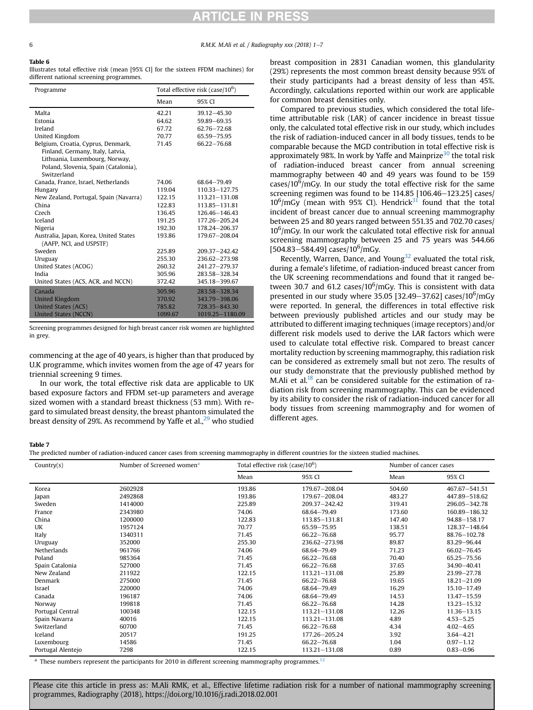# RTICLE IN PRES

<span id="page-6-0"></span>6 **R.M.K. M.Ali** et al. / Radiography xxx (2018) 1-7

#### Table 6

Illustrates total effective risk (mean [95% CI] for the sixteen FFDM machines) for different national screening programmes.

| Programme                              |         | Total effective risk (case/ $10^6$ ) |  |  |
|----------------------------------------|---------|--------------------------------------|--|--|
|                                        | Mean    | 95% CI                               |  |  |
| Malta                                  | 42.21   | 39.12-45.30                          |  |  |
| Estonia                                | 64.62   | 59.89-69.35                          |  |  |
| Ireland                                | 67.72   | 62.76-72.68                          |  |  |
| United Kingdom                         | 70.77   | 65.59-75.95                          |  |  |
| Belgium, Croatia, Cyprus, Denmark,     | 71.45   | 66.22-76.68                          |  |  |
| Finland, Germany, Italy, Latvia,       |         |                                      |  |  |
| Lithuania, Luxembourg, Norway,         |         |                                      |  |  |
| Poland, Slovenia, Spain (Catalonia),   |         |                                      |  |  |
| Switzerland                            |         |                                      |  |  |
| Canada, France, Israel, Netherlands    | 74.06   | 68.64-79.49                          |  |  |
| Hungary                                | 119.04  | 110.33-127.75                        |  |  |
| New Zealand, Portugal, Spain (Navarra) | 122.15  | 113.21-131.08                        |  |  |
| China                                  | 122.83  | 113.85-131.81                        |  |  |
| Czech                                  | 136.45  | 126.46-146.43                        |  |  |
| Iceland                                | 191.25  | 177.26-205.24                        |  |  |
| Nigeria                                | 192.30  | 178.24-206.37                        |  |  |
| Australia, Japan, Korea, United States | 193.86  | 179.67-208.04                        |  |  |
| (AAFP, NCI, and USPSTF)                |         |                                      |  |  |
| Sweden                                 | 225.89  | 209.37-242.42                        |  |  |
| Uruguay                                | 255.30  | 236.62-273.98                        |  |  |
| United States (ACOG)                   | 260.32  | 241.27-279.37                        |  |  |
| India                                  | 305.96  | 283.58-328.34                        |  |  |
| United States (ACS, ACR, and NCCN)     | 372.42  | 345.18-399.67                        |  |  |
| Canada                                 | 305.96  | 283.58-328.34                        |  |  |
| <b>United Kingdom</b>                  | 370.92  | 343.79-398.06                        |  |  |
| <b>United States (ACS)</b>             | 785.82  | 728.35-843.30                        |  |  |
| <b>United States (NCCN)</b>            | 1099.67 | 1019.25-1180.09                      |  |  |

Screening programmes designed for high breast cancer risk women are highlighted in grey.

commencing at the age of 40 years, is higher than that produced by U.K programme, which invites women from the age of 47 years for triennial screening 9 times.

In our work, the total effective risk data are applicable to UK based exposure factors and FFDM set-up parameters and average sized women with a standard breast thickness (53 mm). With regard to simulated breast density, the breast phantom simulated the breast density of [29](#page-7-0)%. As recommend by Yaffe et al.,<sup>29</sup> who studied breast composition in 2831 Canadian women, this glandularity (29%) represents the most common breast density because 95% of their study participants had a breast density of less than 45%. Accordingly, calculations reported within our work are applicable for common breast densities only.

Compared to previous studies, which considered the total lifetime attributable risk (LAR) of cancer incidence in breast tissue only, the calculated total effective risk in our study, which includes the risk of radiation-induced cancer in all body tissues, tends to be comparable because the MGD contribution in total effective risk is approximately 98%. In work by Yaffe and Mainprize<sup>30</sup> the total risk of radiation-induced breast cancer from annual screening mammography between 40 and 49 years was found to be 159 cases/ $10^6$ /mGy. In our study the total effective risk for the same screening regimen was found to be  $114.85$  [106.46-123.25] cases/  $10^6$ /mGy (mean with 95% CI). Hendrick $3^1$  found that the total incident of breast cancer due to annual screening mammography between 25 and 80 years ranged between 551.35 and 702.70 cases/  $10^6$ /mGy. In our work the calculated total effective risk for annual screening mammography between 25 and 75 years was 544.66 [504.83–584.49] cases/10<sup>6</sup>/mGy.

Recently, Warren, Dance, and Young<sup>32</sup> evaluated the total risk, during a female's lifetime, of radiation-induced breast cancer from the UK screening recommendations and found that it ranged between 30.7 and 61.2 cases/ $10^6$ /mGy. This is consistent with data presented in our study where 35.05 [32.49–37.62] cases/10<sup>6</sup>/mGy were reported. In general, the differences in total effective risk between previously published articles and our study may be attributed to different imaging techniques (image receptors) and/or different risk models used to derive the LAR factors which were used to calculate total effective risk. Compared to breast cancer mortality reduction by screening mammography, this radiation risk can be considered as extremely small but not zero. The results of our study demonstrate that the previously published method by M.Ali et al.<sup>[18](#page-7-0)</sup> can be considered suitable for the estimation of radiation risk from screening mammography. This can be evidenced by its ability to consider the risk of radiation-induced cancer for all body tissues from screening mammography and for women of different ages.

### Table 7

The predicted number of radiation-induced cancer cases from screening mammography in different countries for the sixteen studied machines.

| Country(s)        | Number of Screened women <sup>a</sup> | Total effective risk (case/ $10^6$ ) |               | Number of cancer cases |                  |
|-------------------|---------------------------------------|--------------------------------------|---------------|------------------------|------------------|
|                   |                                       | Mean                                 | 95% CI        | Mean                   | 95% CI           |
| Korea             | 2602928                               | 193.86                               | 179.67-208.04 | 504.60                 | 467.67-541.51    |
| Japan             | 2492868                               | 193.86                               | 179.67-208.04 | 483.27                 | 447.89-518.62    |
| Sweden            | 1414000                               | 225.89                               | 209.37-242.42 | 319.41                 | 296.05-342.78    |
| France            | 2343980                               | 74.06                                | 68.64-79.49   | 173.60                 | 160.89-186.32    |
| China             | 1200000                               | 122.83                               | 113.85-131.81 | 147.40                 | $94.88 - 158.17$ |
| UK                | 1957124                               | 70.77                                | 65.59-75.95   | 138.51                 | 128.37-148.64    |
| Italy             | 1340311                               | 71.45                                | 66.22-76.68   | 95.77                  | 88.76-102.78     |
| Uruguay           | 352000                                | 255.30                               | 236.62-273.98 | 89.87                  | 83.29-96.44      |
| Netherlands       | 961766                                | 74.06                                | 68.64-79.49   | 71.23                  | $66.02 - 76.45$  |
| Poland            | 985364                                | 71.45                                | 66.22-76.68   | 70.40                  | 65.25 - 75.56    |
| Spain Catalonia   | 527000                                | 71.45                                | 66.22-76.68   | 37.65                  | 34.90 - 40.41    |
| New Zealand       | 211922                                | 122.15                               | 113.21-131.08 | 25.89                  | $23.99 - 27.78$  |
| Denmark           | 275000                                | 71.45                                | 66.22-76.68   | 19.65                  | $18.21 - 21.09$  |
| Israel            | 220000                                | 74.06                                | 68.64-79.49   | 16.29                  | $15.10 - 17.49$  |
| Canada            | 196187                                | 74.06                                | 68.64-79.49   | 14.53                  | $13.47 - 15.59$  |
| Norway            | 199818                                | 71.45                                | 66.22-76.68   | 14.28                  | $13.23 - 15.32$  |
| Portugal Central  | 100348                                | 122.15                               | 113.21-131.08 | 12.26                  | 11.36-13.15      |
| Spain Navarra     | 40016                                 | 122.15                               | 113.21-131.08 | 4.89                   | $4.53 - 5.25$    |
| Switzerland       | 60700                                 | 71.45                                | 66.22-76.68   | 4.34                   | $4.02 - 4.65$    |
| Iceland           | 20517                                 | 191.25                               | 177.26-205.24 | 3.92                   | $3.64 - 4.21$    |
| Luxembourg        | 14586                                 | 71.45                                | 66.22-76.68   | 1.04                   | $0.97 - 1.12$    |
| Portugal Alentejo | 7298                                  | 122.15                               | 113.21-131.08 | 0.89                   | $0.83 - 0.96$    |

 $a$  These numbers represent the participants for 2010 in different screening mammography programmes.<sup>[12](#page-7-0)</sup>